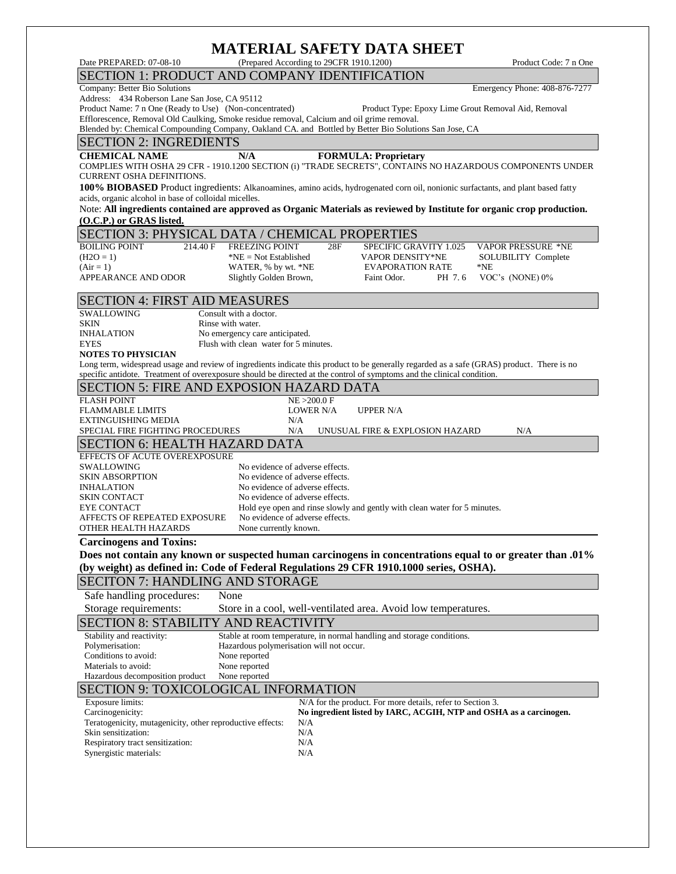# **MATERIAL SAFETY DATA SHEET**

| MATENIAE SAFETT DATA SHEET<br>(Prepared According to 29CFR 1910.1200)                                                                               |                                                                                       |
|-----------------------------------------------------------------------------------------------------------------------------------------------------|---------------------------------------------------------------------------------------|
| Date PREPARED: 07-08-10                                                                                                                             | Product Code: 7 n One                                                                 |
| SECTION 1: PRODUCT AND COMPANY IDENTIFICATION                                                                                                       |                                                                                       |
| Company: Better Bio Solutions<br>Address: 434 Roberson Lane San Jose, CA 95112                                                                      | Emergency Phone: 408-876-7277                                                         |
| Product Name: 7 n One (Ready to Use) (Non-concentrated)                                                                                             | Product Type: Epoxy Lime Grout Removal Aid, Removal                                   |
| Efflorescence, Removal Old Caulking, Smoke residue removal, Calcium and oil grime removal.                                                          |                                                                                       |
| Blended by: Chemical Compounding Company, Oakland CA. and Bottled by Better Bio Solutions San Jose, CA                                              |                                                                                       |
| <b>SECTION 2: INGREDIENTS</b>                                                                                                                       |                                                                                       |
| N/A<br><b>CHEMICAL NAME</b><br><b>FORMULA: Proprietary</b>                                                                                          |                                                                                       |
| COMPLIES WITH OSHA 29 CFR - 1910.1200 SECTION (i) "TRADE SECRETS", CONTAINS NO HAZARDOUS COMPONENTS UNDER                                           |                                                                                       |
| <b>CURRENT OSHA DEFINITIONS.</b>                                                                                                                    |                                                                                       |
| 100% BIOBASED Product ingredients: Alkanoamines, amino acids, hydrogenated corn oil, nonionic surfactants, and plant based fatty                    |                                                                                       |
| acids, organic alcohol in base of colloidal micelles.                                                                                               |                                                                                       |
| Note: All ingredients contained are approved as Organic Materials as reviewed by Institute for organic crop production.<br>(O.C.P.) or GRAS listed. |                                                                                       |
|                                                                                                                                                     |                                                                                       |
| <b>SECTION 3: PHYSICAL DATA / CHEMICAL PROPERTIES</b>                                                                                               |                                                                                       |
| <b>BOILING POINT</b><br>214.40 F<br><b>FREEZING POINT</b><br>28F<br>$(H2O = 1)$<br>*NE = Not Established                                            | <b>VAPOR PRESSURE *NE</b><br><b>SPECIFIC GRAVITY 1.025</b><br><b>VAPOR DENSITY*NE</b> |
| $(Air = 1)$<br>WATER, % by wt. *NE                                                                                                                  | SOLUBILITY Complete<br><b>EVAPORATION RATE</b><br>$*NE$                               |
| APPEARANCE AND ODOR<br>Slightly Golden Brown,                                                                                                       | VOC's (NONE) $0\%$<br>Faint Odor.<br>PH 7.6                                           |
|                                                                                                                                                     |                                                                                       |
| <b>SECTION 4: FIRST AID MEASURES</b>                                                                                                                |                                                                                       |
| SWALLOWING<br>Consult with a doctor.                                                                                                                |                                                                                       |
| Rinse with water.<br>SKIN                                                                                                                           |                                                                                       |
| No emergency care anticipated.<br><b>INHALATION</b>                                                                                                 |                                                                                       |
| Flush with clean water for 5 minutes.<br><b>EYES</b><br><b>NOTES TO PHYSICIAN</b>                                                                   |                                                                                       |
| Long term, widespread usage and review of ingredients indicate this product to be generally regarded as a safe (GRAS) product. There is no          |                                                                                       |
| specific antidote. Treatment of overexposure should be directed at the control of symptoms and the clinical condition.                              |                                                                                       |
| <b>SECTION 5: FIRE AND EXPOSION HAZARD DATA</b>                                                                                                     |                                                                                       |
|                                                                                                                                                     |                                                                                       |
|                                                                                                                                                     |                                                                                       |
| <b>FLASH POINT</b><br>NE > 200.0 F<br><b>FLAMMABLE LIMITS</b><br><b>LOWER N/A</b>                                                                   | <b>UPPER N/A</b>                                                                      |
| <b>EXTINGUISHING MEDIA</b><br>N/A                                                                                                                   |                                                                                       |
| SPECIAL FIRE FIGHTING PROCEDURES<br>N/A                                                                                                             | N/A<br>UNUSUAL FIRE & EXPLOSION HAZARD                                                |
| <b>SECTION 6: HEALTH HAZARD DATA</b>                                                                                                                |                                                                                       |
| EFFECTS OF ACUTE OVEREXPOSURE                                                                                                                       |                                                                                       |
| SWALLOWING<br>No evidence of adverse effects.                                                                                                       |                                                                                       |
| No evidence of adverse effects.<br><b>SKIN ABSORPTION</b>                                                                                           |                                                                                       |
| No evidence of adverse effects.<br><b>INHALATION</b><br>No evidence of adverse effects.<br><b>SKIN CONTACT</b>                                      |                                                                                       |
| Hold eye open and rinse slowly and gently with clean water for 5 minutes.<br><b>EYE CONTACT</b>                                                     |                                                                                       |
| No evidence of adverse effects.<br>AFFECTS OF REPEATED EXPOSURE                                                                                     |                                                                                       |
| OTHER HEALTH HAZARDS<br>None currently known.                                                                                                       |                                                                                       |
| <b>Carcinogens and Toxins:</b>                                                                                                                      |                                                                                       |
| Does not contain any known or suspected human carcinogens in concentrations equal to or greater than .01%                                           |                                                                                       |
| (by weight) as defined in: Code of Federal Regulations 29 CFR 1910.1000 series, OSHA).                                                              |                                                                                       |
| <b>SECITON 7: HANDLING AND STORAGE</b>                                                                                                              |                                                                                       |
| None                                                                                                                                                |                                                                                       |
| Safe handling procedures:                                                                                                                           |                                                                                       |
| Storage requirements:<br>Store in a cool, well-ventilated area. Avoid low temperatures.                                                             |                                                                                       |
| <b>SECTION 8: STABILITY AND REACTIVITY</b>                                                                                                          |                                                                                       |
| Stable at room temperature, in normal handling and storage conditions.<br>Stability and reactivity:                                                 |                                                                                       |
| Hazardous polymerisation will not occur.<br>Polymerisation:<br>Conditions to avoid:<br>None reported                                                |                                                                                       |
| Materials to avoid:<br>None reported                                                                                                                |                                                                                       |
| Hazardous decomposition product<br>None reported                                                                                                    |                                                                                       |
| <b>SECTION 9: TOXICOLOGICAL INFORMATION</b>                                                                                                         |                                                                                       |
| <b>Exposure limits:</b>                                                                                                                             | N/A for the product. For more details, refer to Section 3.                            |
| Carcinogenicity:                                                                                                                                    | No ingredient listed by IARC, ACGIH, NTP and OSHA as a carcinogen.                    |
| Teratogenicity, mutagenicity, other reproductive effects:<br>N/A                                                                                    |                                                                                       |
| Skin sensitization:<br>N/A<br>Respiratory tract sensitization:<br>N/A                                                                               |                                                                                       |